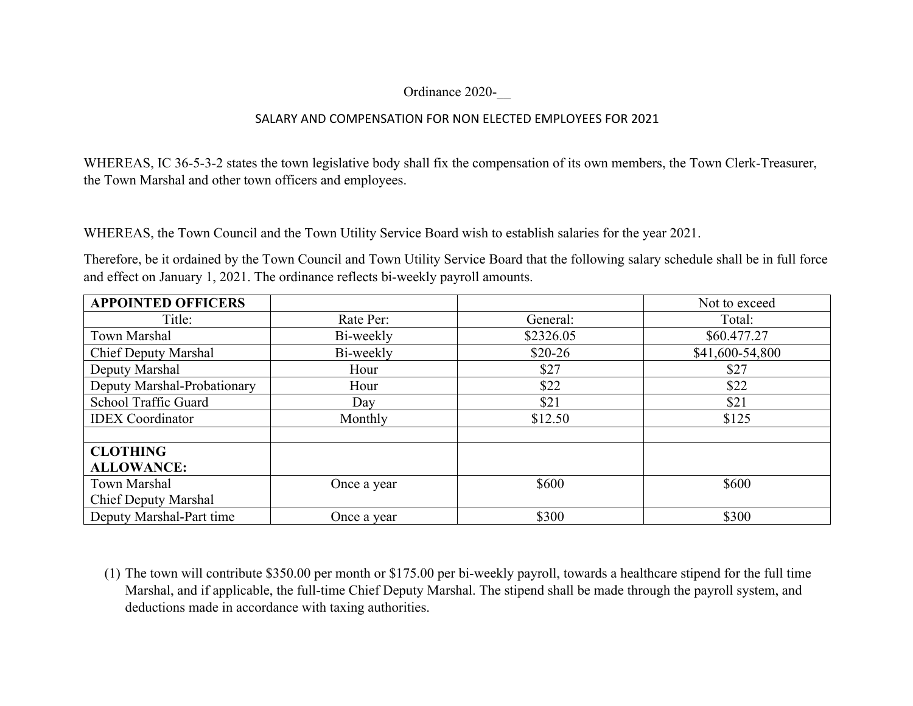## Ordinance 2020-\_\_

## SALARY AND COMPENSATION FOR NON ELECTED EMPLOYEES FOR 2021

WHEREAS, IC 36-5-3-2 states the town legislative body shall fix the compensation of its own members, the Town Clerk-Treasurer, the Town Marshal and other town officers and employees.

WHEREAS, the Town Council and the Town Utility Service Board wish to establish salaries for the year 2021.

Therefore, be it ordained by the Town Council and Town Utility Service Board that the following salary schedule shall be in full force and effect on January 1, 2021. The ordinance reflects bi-weekly payroll amounts.

| <b>APPOINTED OFFICERS</b>   |             |           | Not to exceed   |
|-----------------------------|-------------|-----------|-----------------|
| Title:                      | Rate Per:   | General:  | Total:          |
| Town Marshal                | Bi-weekly   | \$2326.05 | \$60.477.27     |
| <b>Chief Deputy Marshal</b> | Bi-weekly   | $$20-26$  | \$41,600-54,800 |
| Deputy Marshal              | Hour        | \$27      | \$27            |
| Deputy Marshal-Probationary | Hour        | \$22      | \$22            |
| School Traffic Guard        | Day         | \$21      | \$21            |
| <b>IDEX</b> Coordinator     | Monthly     | \$12.50   | \$125           |
|                             |             |           |                 |
| <b>CLOTHING</b>             |             |           |                 |
| <b>ALLOWANCE:</b>           |             |           |                 |
| <b>Town Marshal</b>         | Once a year | \$600     | \$600           |
| <b>Chief Deputy Marshal</b> |             |           |                 |
| Deputy Marshal-Part time    | Once a year | \$300     | \$300           |

(1) The town will contribute \$350.00 per month or \$175.00 per bi-weekly payroll, towards a healthcare stipend for the full time Marshal, and if applicable, the full-time Chief Deputy Marshal. The stipend shall be made through the payroll system, and deductions made in accordance with taxing authorities.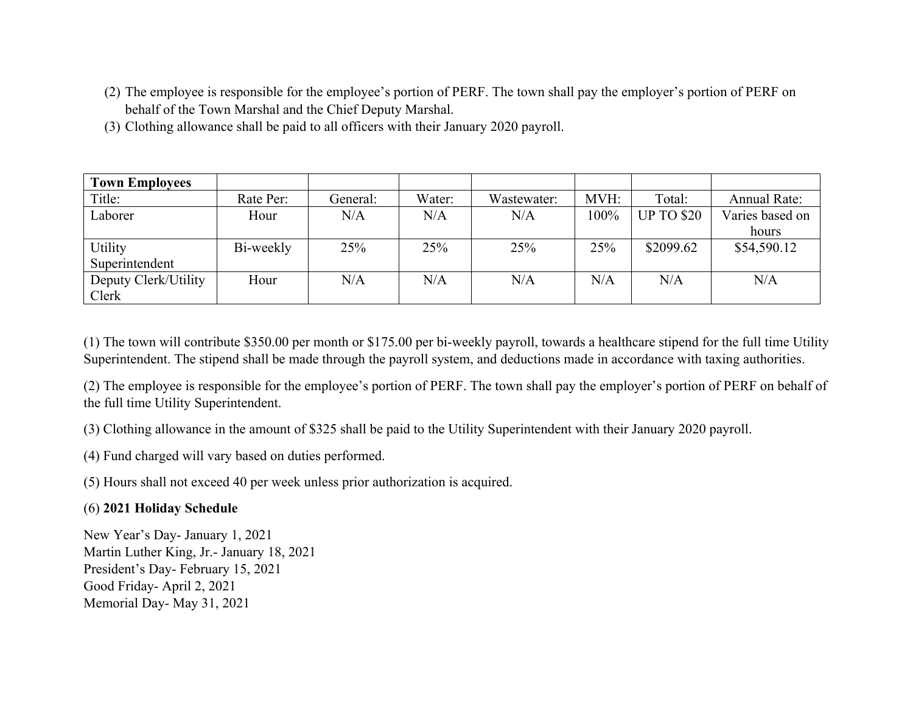- (2) The employee is responsible for the employee's portion of PERF. The town shall pay the employer's portion of PERF on behalf of the Town Marshal and the Chief Deputy Marshal.
- (3) Clothing allowance shall be paid to all officers with their January 2020 payroll.

| <b>Town Employees</b> |           |          |        |             |      |                   |                     |
|-----------------------|-----------|----------|--------|-------------|------|-------------------|---------------------|
| Title:                | Rate Per: | General: | Water: | Wastewater: | MVH: | Total:            | <b>Annual Rate:</b> |
| Laborer               | Hour      | N/A      | N/A    | N/A         | 100% | <b>UP TO \$20</b> | Varies based on     |
|                       |           |          |        |             |      |                   | hours               |
| Utility               | Bi-weekly | 25%      | 25%    | 25%         | 25%  | \$2099.62         | \$54,590.12         |
| Superintendent        |           |          |        |             |      |                   |                     |
| Deputy Clerk/Utility  | Hour      | N/A      | N/A    | N/A         | N/A  | N/A               | N/A                 |
| Clerk                 |           |          |        |             |      |                   |                     |

(1) The town will contribute \$350.00 per month or \$175.00 per bi-weekly payroll, towards a healthcare stipend for the full time Utility Superintendent. The stipend shall be made through the payroll system, and deductions made in accordance with taxing authorities.

(2) The employee is responsible for the employee's portion of PERF. The town shall pay the employer's portion of PERF on behalf of the full time Utility Superintendent.

(3) Clothing allowance in the amount of \$325 shall be paid to the Utility Superintendent with their January 2020 payroll.

(4) Fund charged will vary based on duties performed.

(5) Hours shall not exceed 40 per week unless prior authorization is acquired.

## (6) **2021 Holiday Schedule**

New Year's Day- January 1, 2021 Martin Luther King, Jr.- January 18, 2021 President's Day- February 15, 2021 Good Friday- April 2, 2021 Memorial Day- May 31, 2021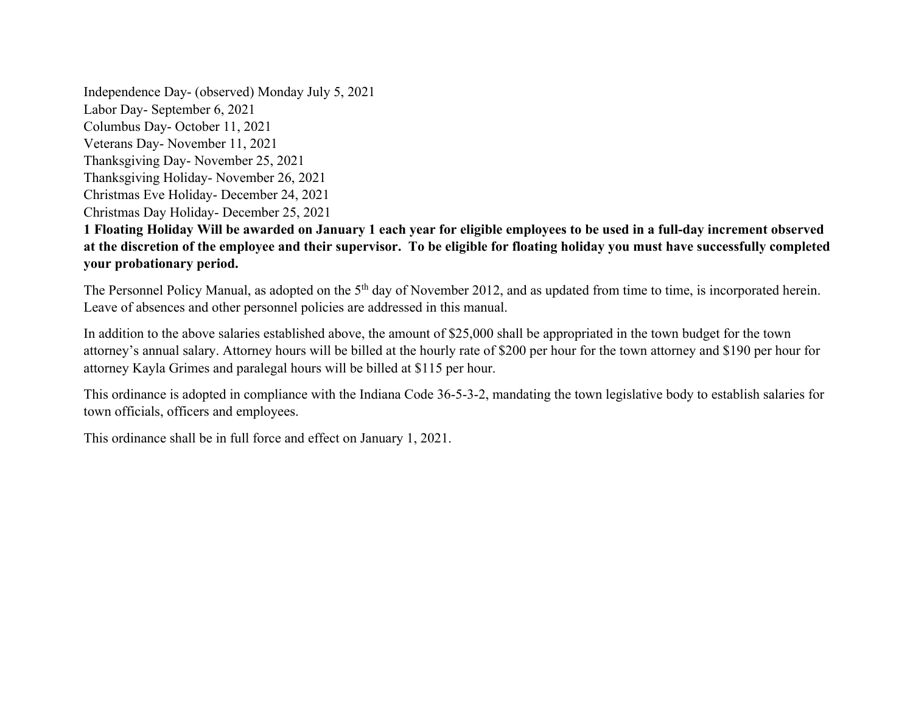Independence Day- (observed) Monday July 5, 2021 Labor Day- September 6, 2021 Columbus Day- October 11, 2021 Veterans Day- November 11, 2021 Thanksgiving Day- November 25, 2021 Thanksgiving Holiday- November 26, 2021 Christmas Eve Holiday- December 24, 2021 Christmas Day Holiday- December 25, 2021

## **1 Floating Holiday Will be awarded on January 1 each year for eligible employees to be used in a full-day increment observed at the discretion of the employee and their supervisor. To be eligible for floating holiday you must have successfully completed your probationary period.**

The Personnel Policy Manual, as adopted on the 5<sup>th</sup> day of November 2012, and as updated from time to time, is incorporated herein. Leave of absences and other personnel policies are addressed in this manual.

In addition to the above salaries established above, the amount of \$25,000 shall be appropriated in the town budget for the town attorney's annual salary. Attorney hours will be billed at the hourly rate of \$200 per hour for the town attorney and \$190 per hour for attorney Kayla Grimes and paralegal hours will be billed at \$115 per hour.

This ordinance is adopted in compliance with the Indiana Code 36-5-3-2, mandating the town legislative body to establish salaries for town officials, officers and employees.

This ordinance shall be in full force and effect on January 1, 2021.